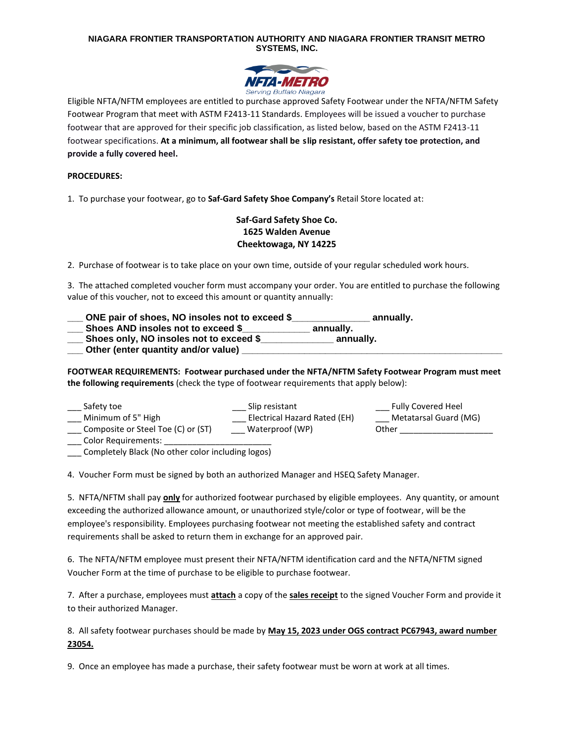### **NIAGARA FRONTIER TRANSPORTATION AUTHORITY AND NIAGARA FRONTIER TRANSIT METRO SYSTEMS, INC.**



Eligible NFTA/NFTM employees are entitled to purchase approved Safety Footwear under the NFTA/NFTM Safety Footwear Program that meet with ASTM F2413-11 Standards. Employees will be issued a voucher to purchase footwear that are approved for their specific job classification, as listed below, based on the ASTM F2413-11 footwear specifications. **At a minimum, all footwear shall be slip resistant, offer safety toe protection, and provide a fully covered heel.** 

### **PROCEDURES:**

1. To purchase your footwear, go to **Saf-Gard Safety Shoe Company's** Retail Store located at:

## **Saf-Gard Safety Shoe Co. 1625 Walden Avenue Cheektowaga, NY 14225**

2. Purchase of footwear is to take place on your own time, outside of your regular scheduled work hours.

3. The attached completed voucher form must accompany your order. You are entitled to purchase the following value of this voucher, not to exceed this amount or quantity annually:

| ONE pair of shoes, NO insoles not to exceed \$ | annually. |
|------------------------------------------------|-----------|
| Shoes AND insoles not to exceed \$             | annually. |
| Shoes only, NO insoles not to exceed \$        | annually. |
| Other (enter quantity and/or value)            |           |

**FOOTWEAR REQUIREMENTS: Footwear purchased under the NFTA/NFTM Safety Footwear Program must meet the following requirements** (check the type of footwear requirements that apply below):

| Safety toe                         | Slip resistant               | <b>Fully Covered Heel</b> |
|------------------------------------|------------------------------|---------------------------|
| Minimum of 5" High                 | Electrical Hazard Rated (EH) | Metatarsal Guard (MG)     |
| Composite or Steel Toe (C) or (ST) | Waterproof (WP)              | Other                     |
| Color Requirements:                |                              |                           |

\_\_\_ Completely Black (No other color including logos)

4. Voucher Form must be signed by both an authorized Manager and HSEQ Safety Manager.

5. NFTA/NFTM shall pay **only** for authorized footwear purchased by eligible employees. Any quantity, or amount exceeding the authorized allowance amount, or unauthorized style/color or type of footwear, will be the employee's responsibility. Employees purchasing footwear not meeting the established safety and contract requirements shall be asked to return them in exchange for an approved pair.

6. The NFTA/NFTM employee must present their NFTA/NFTM identification card and the NFTA/NFTM signed Voucher Form at the time of purchase to be eligible to purchase footwear.

7. After a purchase, employees must **attach** a copy of the **sales receipt** to the signed Voucher Form and provide it to their authorized Manager.

8. All safety footwear purchases should be made by **May 15, 2023 under OGS contract PC67943, award number 23054.**

9. Once an employee has made a purchase, their safety footwear must be worn at work at all times.